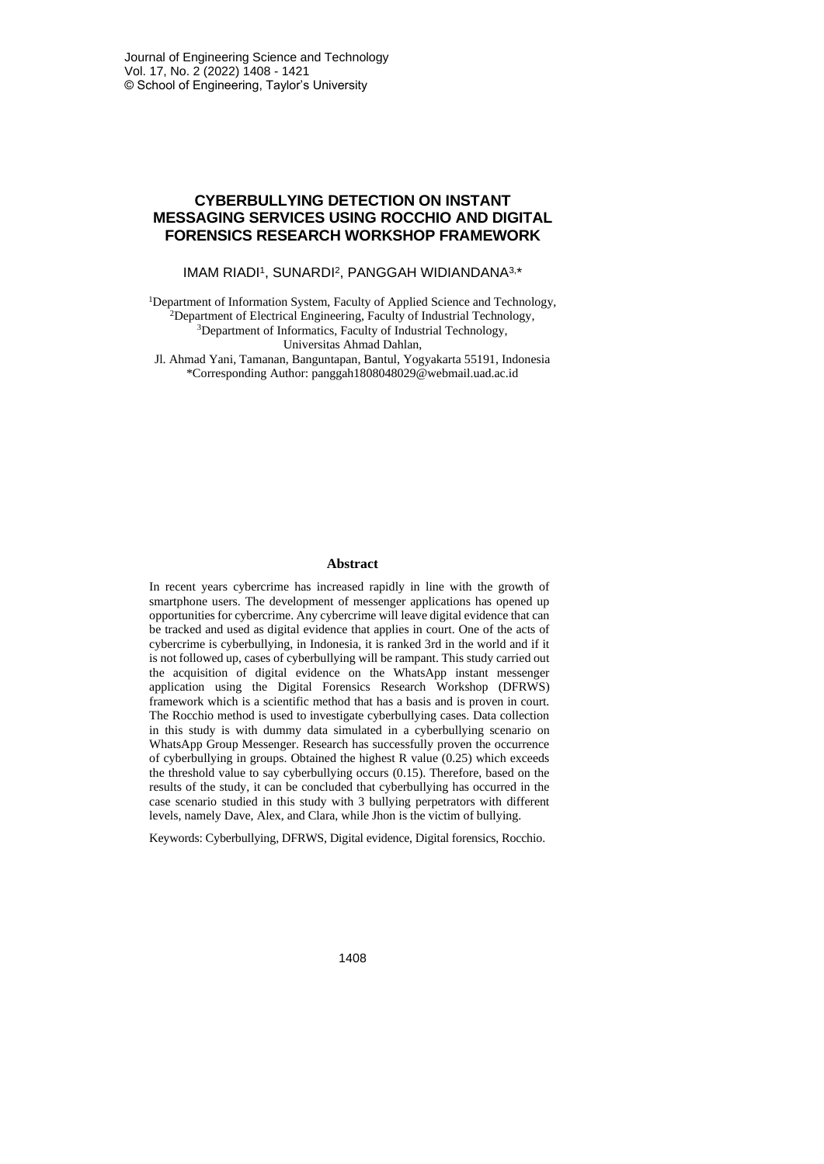# **CYBERBULLYING DETECTION ON INSTANT MESSAGING SERVICES USING ROCCHIO AND DIGITAL FORENSICS RESEARCH WORKSHOP FRAMEWORK**

#### IMAM RIADI<sup>1</sup>, SUNARDI<sup>2</sup>, PANGGAH WIDIANDANA<sup>3,\*</sup>

<sup>1</sup>Department of Information System, Faculty of Applied Science and Technology, <sup>2</sup>Department of Electrical Engineering, Faculty of Industrial Technology, <sup>3</sup>Department of Informatics, Faculty of Industrial Technology, Universitas Ahmad Dahlan,

Jl. Ahmad Yani, Tamanan, Banguntapan, Bantul, Yogyakarta 55191, Indonesia \*Corresponding Author: panggah1808048029@webmail.uad.ac.id

#### **Abstract**

In recent years cybercrime has increased rapidly in line with the growth of smartphone users. The development of messenger applications has opened up opportunities for cybercrime. Any cybercrime will leave digital evidence that can be tracked and used as digital evidence that applies in court. One of the acts of cybercrime is cyberbullying, in Indonesia, it is ranked 3rd in the world and if it is not followed up, cases of cyberbullying will be rampant. This study carried out the acquisition of digital evidence on the WhatsApp instant messenger application using the Digital Forensics Research Workshop (DFRWS) framework which is a scientific method that has a basis and is proven in court. The Rocchio method is used to investigate cyberbullying cases. Data collection in this study is with dummy data simulated in a cyberbullying scenario on WhatsApp Group Messenger. Research has successfully proven the occurrence of cyberbullying in groups. Obtained the highest R value (0.25) which exceeds the threshold value to say cyberbullying occurs (0.15). Therefore, based on the results of the study, it can be concluded that cyberbullying has occurred in the case scenario studied in this study with 3 bullying perpetrators with different levels, namely Dave, Alex, and Clara, while Jhon is the victim of bullying.

Keywords: Cyberbullying, DFRWS, Digital evidence, Digital forensics, Rocchio.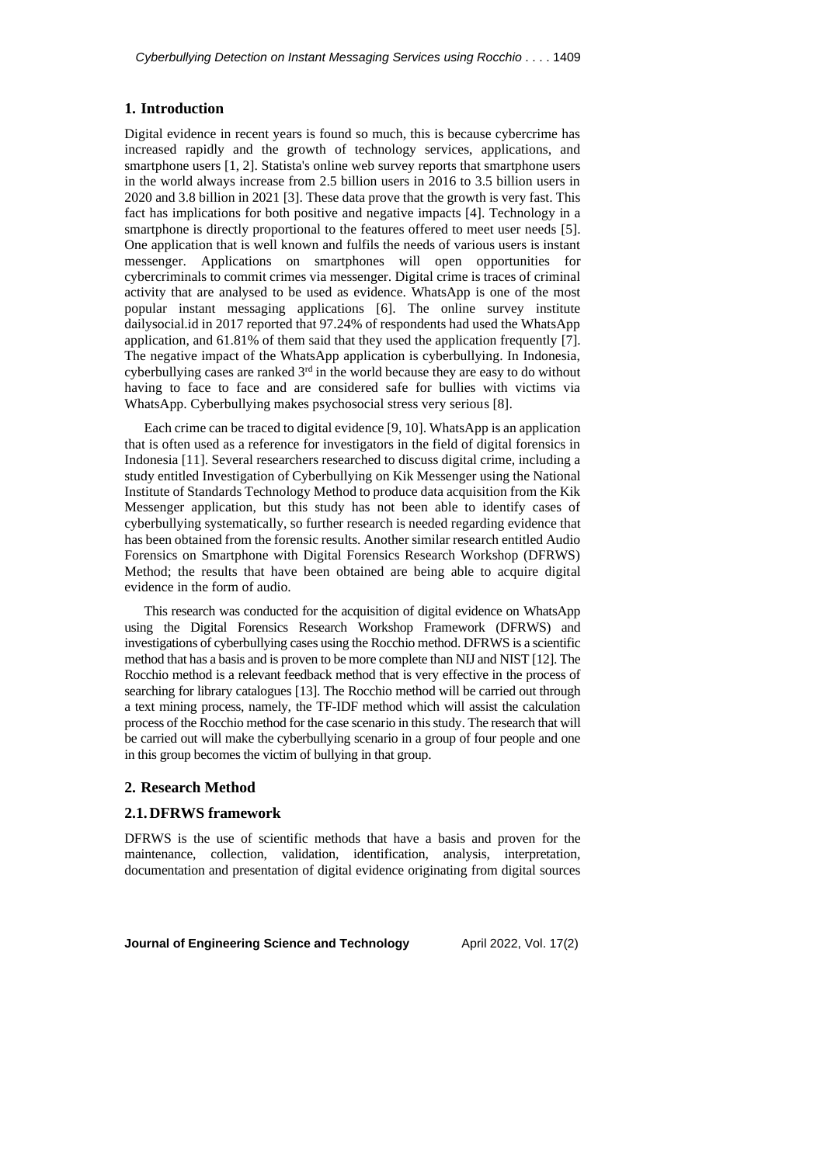### **1. Introduction**

Digital evidence in recent years is found so much, this is because cybercrime has increased rapidly and the growth of technology services, applications, and smartphone users [1, 2]. Statista's online web survey reports that smartphone users in the world always increase from 2.5 billion users in 2016 to 3.5 billion users in 2020 and 3.8 billion in 2021 [3]. These data prove that the growth is very fast. This fact has implications for both positive and negative impacts [4]. Technology in a smartphone is directly proportional to the features offered to meet user needs [5]. One application that is well known and fulfils the needs of various users is instant messenger. Applications on smartphones will open opportunities for cybercriminals to commit crimes via messenger. Digital crime is traces of criminal activity that are analysed to be used as evidence. WhatsApp is one of the most popular instant messaging applications [6]. The online survey institute dailysocial.id in 2017 reported that 97.24% of respondents had used the WhatsApp application, and 61.81% of them said that they used the application frequently [7]. The negative impact of the WhatsApp application is cyberbullying. In Indonesia, cyberbullying cases are ranked  $3<sup>rd</sup>$  in the world because they are easy to do without having to face to face and are considered safe for bullies with victims via WhatsApp. Cyberbullying makes psychosocial stress very serious [8].

Each crime can be traced to digital evidence [9, 10]. WhatsApp is an application that is often used as a reference for investigators in the field of digital forensics in Indonesia [11]. Several researchers researched to discuss digital crime, including a study entitled Investigation of Cyberbullying on Kik Messenger using the National Institute of Standards Technology Method to produce data acquisition from the Kik Messenger application, but this study has not been able to identify cases of cyberbullying systematically, so further research is needed regarding evidence that has been obtained from the forensic results. Another similar research entitled Audio Forensics on Smartphone with Digital Forensics Research Workshop (DFRWS) Method; the results that have been obtained are being able to acquire digital evidence in the form of audio.

This research was conducted for the acquisition of digital evidence on WhatsApp using the Digital Forensics Research Workshop Framework (DFRWS) and investigations of cyberbullying cases using the Rocchio method. DFRWS is a scientific method that has a basis and is proven to be more complete than NIJ and NIST [12]. The Rocchio method is a relevant feedback method that is very effective in the process of searching for library catalogues [13]. The Rocchio method will be carried out through a text mining process, namely, the TF-IDF method which will assist the calculation process of the Rocchio method for the case scenario in this study. The research that will be carried out will make the cyberbullying scenario in a group of four people and one in this group becomes the victim of bullying in that group.

#### **2. Research Method**

#### **2.1.DFRWS framework**

DFRWS is the use of scientific methods that have a basis and proven for the maintenance, collection, validation, identification, analysis, interpretation, documentation and presentation of digital evidence originating from digital sources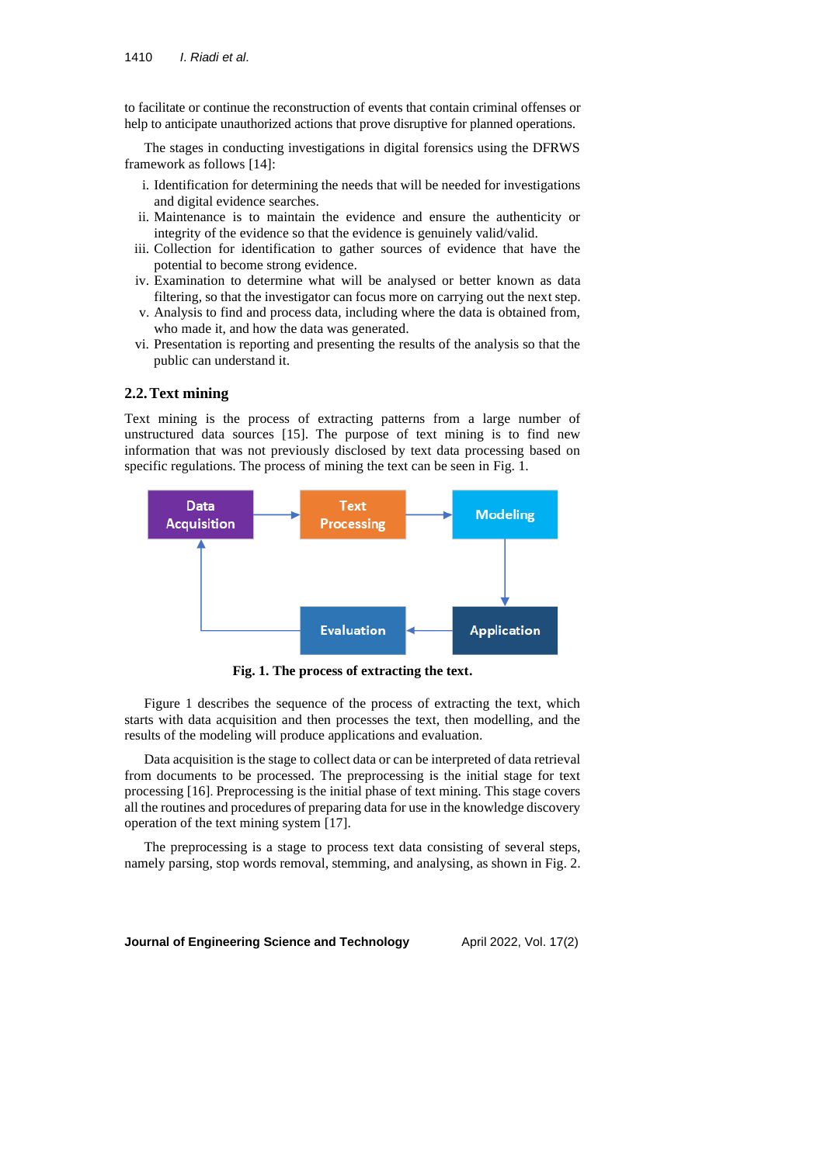to facilitate or continue the reconstruction of events that contain criminal offenses or help to anticipate unauthorized actions that prove disruptive for planned operations.

The stages in conducting investigations in digital forensics using the DFRWS framework as follows [14]:

- i. Identification for determining the needs that will be needed for investigations and digital evidence searches.
- ii. Maintenance is to maintain the evidence and ensure the authenticity or integrity of the evidence so that the evidence is genuinely valid/valid.
- iii. Collection for identification to gather sources of evidence that have the potential to become strong evidence.
- iv. Examination to determine what will be analysed or better known as data filtering, so that the investigator can focus more on carrying out the next step.
- v. Analysis to find and process data, including where the data is obtained from, who made it, and how the data was generated.
- vi. Presentation is reporting and presenting the results of the analysis so that the public can understand it.

# **2.2.Text mining**

Text mining is the process of extracting patterns from a large number of unstructured data sources [15]. The purpose of text mining is to find new information that was not previously disclosed by text data processing based on specific regulations. The process of mining the text can be seen in Fig. 1.



**Fig. 1. The process of extracting the text.**

Figure 1 describes the sequence of the process of extracting the text, which starts with data acquisition and then processes the text, then modelling, and the results of the modeling will produce applications and evaluation.

Data acquisition is the stage to collect data or can be interpreted of data retrieval from documents to be processed. The preprocessing is the initial stage for text processing [16]. Preprocessing is the initial phase of text mining. This stage covers all the routines and procedures of preparing data for use in the knowledge discovery operation of the text mining system [17].

The preprocessing is a stage to process text data consisting of several steps, namely parsing, stop words removal, stemming, and analysing, as shown in Fig. 2.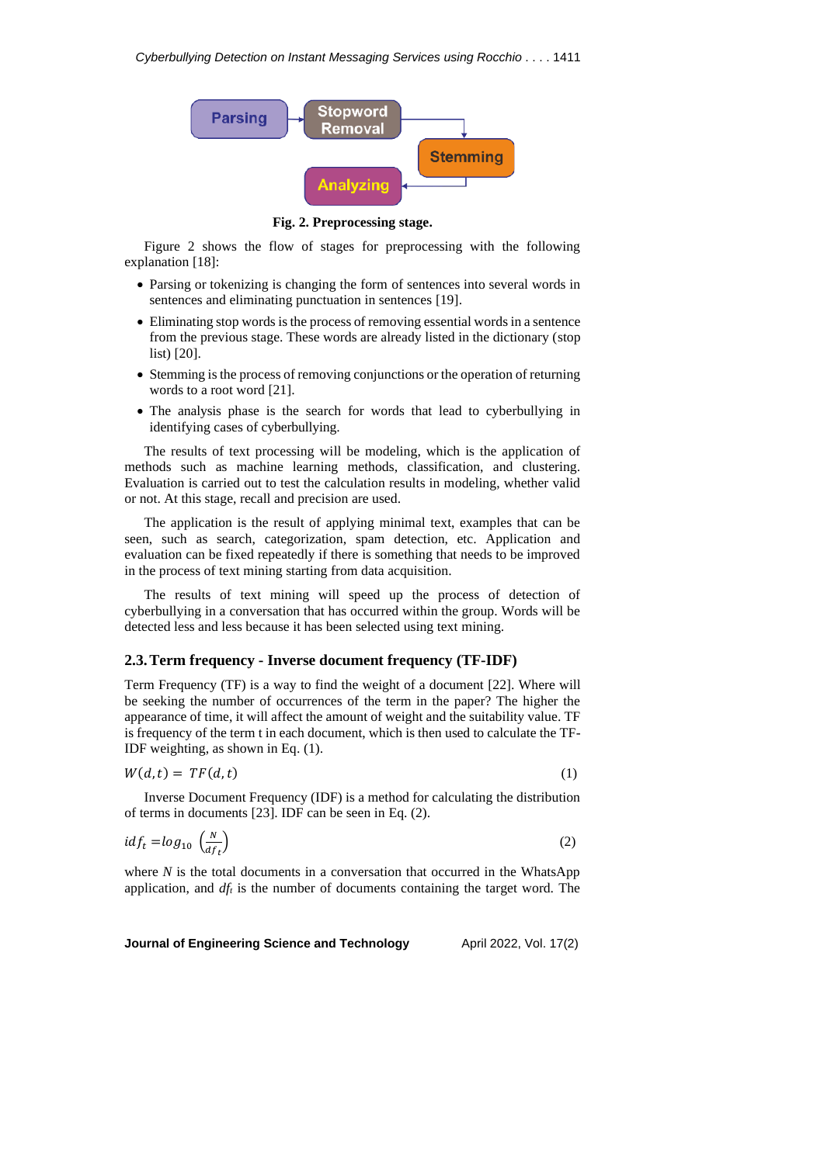

**Fig. 2. Preprocessing stage.**

Figure 2 shows the flow of stages for preprocessing with the following explanation [18]:

- Parsing or tokenizing is changing the form of sentences into several words in sentences and eliminating punctuation in sentences [19].
- Eliminating stop words is the process of removing essential words in a sentence from the previous stage. These words are already listed in the dictionary (stop list) [20].
- Stemming is the process of removing conjunctions or the operation of returning words to a root word [21].
- The analysis phase is the search for words that lead to cyberbullying in identifying cases of cyberbullying.

The results of text processing will be modeling, which is the application of methods such as machine learning methods, classification, and clustering. Evaluation is carried out to test the calculation results in modeling, whether valid or not. At this stage, recall and precision are used.

The application is the result of applying minimal text, examples that can be seen, such as search, categorization, spam detection, etc. Application and evaluation can be fixed repeatedly if there is something that needs to be improved in the process of text mining starting from data acquisition.

The results of text mining will speed up the process of detection of cyberbullying in a conversation that has occurred within the group. Words will be detected less and less because it has been selected using text mining.

# **2.3.Term frequency - Inverse document frequency (TF-IDF)**

Term Frequency (TF) is a way to find the weight of a document [22]. Where will be seeking the number of occurrences of the term in the paper? The higher the appearance of time, it will affect the amount of weight and the suitability value. TF is frequency of the term t in each document, which is then used to calculate the TF-IDF weighting, as shown in Eq. (1).

$$
W(d,t) = TF(d,t) \tag{1}
$$

Inverse Document Frequency (IDF) is a method for calculating the distribution of terms in documents [23]. IDF can be seen in Eq. (2).

$$
idf_t = log_{10} \left( \frac{N}{df_t} \right) \tag{2}
$$

where *N* is the total documents in a conversation that occurred in the WhatsApp application, and  $df<sub>t</sub>$  is the number of documents containing the target word. The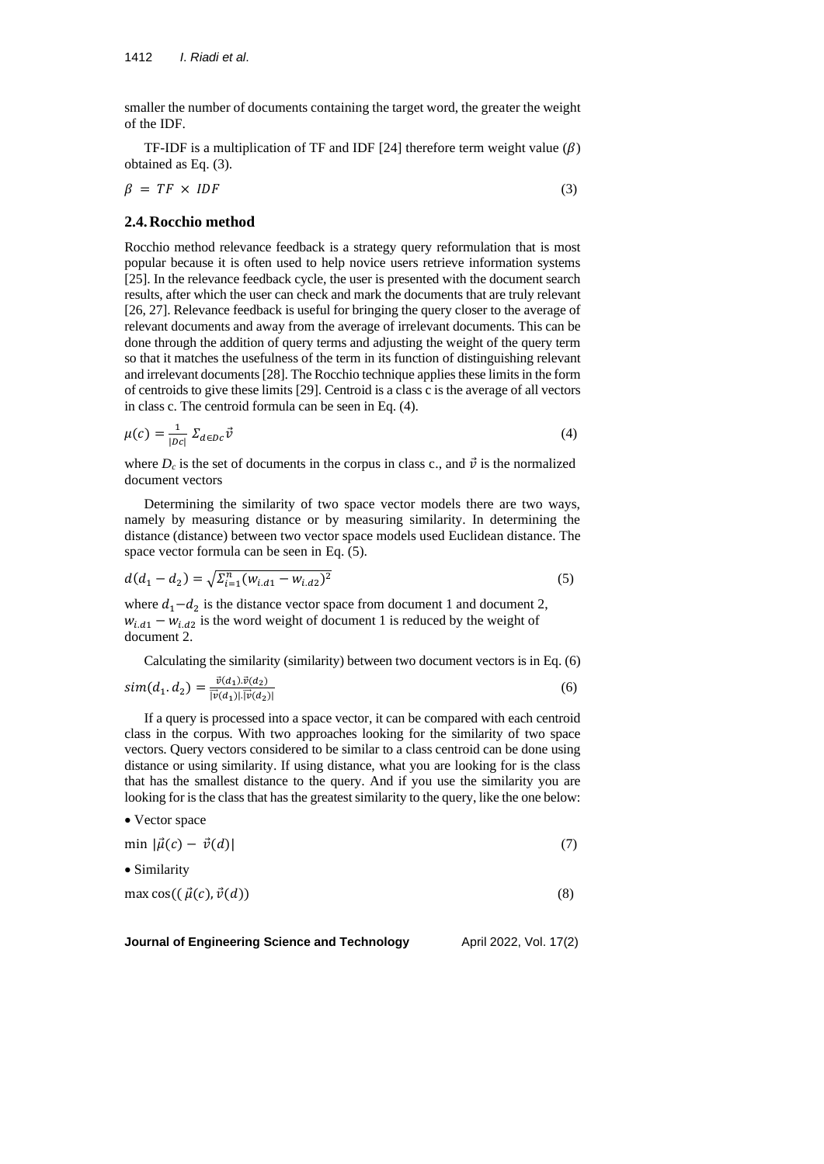smaller the number of documents containing the target word, the greater the weight of the IDF.

TF-IDF is a multiplication of TF and IDF [24] therefore term weight value  $(\beta)$ obtained as Eq. (3).

$$
\beta = TF \times IDF \tag{3}
$$

# **2.4.Rocchio method**

• Vector space

Rocchio method relevance feedback is a strategy query reformulation that is most popular because it is often used to help novice users retrieve information systems [25]. In the relevance feedback cycle, the user is presented with the document search results, after which the user can check and mark the documents that are truly relevant [26, 27]. Relevance feedback is useful for bringing the query closer to the average of relevant documents and away from the average of irrelevant documents. This can be done through the addition of query terms and adjusting the weight of the query term so that it matches the usefulness of the term in its function of distinguishing relevant and irrelevant documents[28]. The Rocchio technique applies these limits in the form of centroids to give these limits [29]. Centroid is a class c is the average of all vectors in class c. The centroid formula can be seen in Eq. (4).

$$
\mu(c) = \frac{1}{|Dc|} \Sigma_{d \in Dc} \vec{v}
$$
\n<sup>(4)</sup>

where  $D_c$  is the set of documents in the corpus in class c., and  $\vec{v}$  is the normalized document vectors

Determining the similarity of two space vector models there are two ways, namely by measuring distance or by measuring similarity. In determining the distance (distance) between two vector space models used Euclidean distance. The space vector formula can be seen in Eq. (5).

$$
d(d_1 - d_2) = \sqrt{\Sigma_{i=1}^n (w_{i,d1} - w_{i,d2})^2}
$$
\n(5)

where  $d_1 - d_2$  is the distance vector space from document 1 and document 2,  $w_{i,d1} - w_{i,d2}$  is the word weight of document 1 is reduced by the weight of document 2.

Calculating the similarity (similarity) between two document vectors is in Eq. (6)

$$
sim(d_1, d_2) = \frac{\vec{v}(d_1) \cdot \vec{v}(d_2)}{|\vec{v}(d_1)| \cdot |\vec{v}(d_2)|}
$$
(6)

If a query is processed into a space vector, it can be compared with each centroid class in the corpus. With two approaches looking for the similarity of two space vectors. Query vectors considered to be similar to a class centroid can be done using distance or using similarity. If using distance, what you are looking for is the class that has the smallest distance to the query. And if you use the similarity you are looking for is the class that has the greatest similarity to the query, like the one below:

min  $|\vec{\mu}(c) - \vec{v}(d)|$  (7)

• Similarity

$$
\max \cos((\vec{\mu}(c), \vec{v}(d))
$$
\n(8)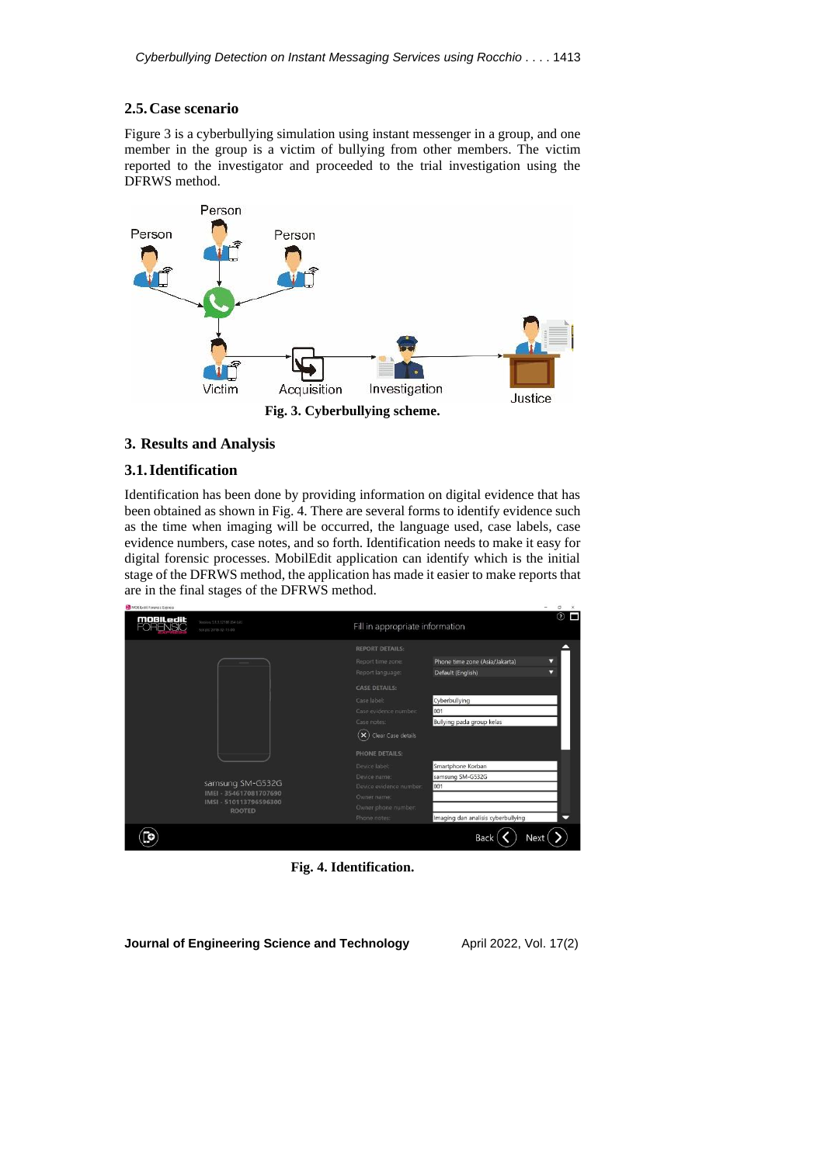# **2.5.Case scenario**

Figure 3 is a cyberbullying simulation using instant messenger in a group, and one member in the group is a victim of bullying from other members. The victim reported to the investigator and proceeded to the trial investigation using the DFRWS method.



### **3. Results and Analysis**

### **3.1.Identification**

國防

Identification has been done by providing information on digital evidence that has been obtained as shown in Fig. 4. There are several forms to identify evidence such as the time when imaging will be occurred, the language used, case labels, case evidence numbers, case notes, and so forth. Identification needs to make it easy for digital forensic processes. MobilEdit application can identify which is the initial stage of the DFRWS method, the application has made it easier to make reports that are in the final stages of the DFRWS method.

| <b>moBiLedit</b><br>FORENSIC | Version: 5.1.1.12189 (64-bit)<br>Scripts: 2018-02-13-00                               |                                   | Fill in appropriate information    |   |  |
|------------------------------|---------------------------------------------------------------------------------------|-----------------------------------|------------------------------------|---|--|
|                              |                                                                                       | <b>REPORT DETAILS:</b>            |                                    |   |  |
|                              | Report time zone:<br>Report language:<br>Default (English)                            |                                   | Phone time zone (Asia/Jakarta)     | Ω |  |
|                              |                                                                                       |                                   | Ω                                  |   |  |
|                              |                                                                                       | <b>CASE DETAILS:</b>              |                                    |   |  |
|                              | samsung SM-G532G<br>IMEI - 354617081707690<br>IMSI - 510113796596300<br><b>ROOTED</b> | Case label:                       | Cyberbullying                      |   |  |
|                              |                                                                                       | Case evidence number:             | 001                                |   |  |
|                              |                                                                                       | Case notes:                       | Bullying pada group kelas          |   |  |
|                              |                                                                                       | $(\mathsf{x})$ Clear Case details |                                    |   |  |
|                              |                                                                                       | PHONE DETAILS:                    |                                    |   |  |
|                              |                                                                                       | Device label:                     | Smartphone Korban                  |   |  |
|                              |                                                                                       | Device name:                      | samsung SM-G532G                   |   |  |
|                              |                                                                                       | Device evidence number:           | 001                                |   |  |
|                              |                                                                                       | Owner name:                       |                                    |   |  |
|                              |                                                                                       | Owner phone number:               |                                    |   |  |
|                              |                                                                                       | Phone notes:                      | Imaging dan analisis cyberbullying |   |  |
|                              |                                                                                       |                                   | <b>Back</b><br>Next                |   |  |

**Fig. 4. Identification.**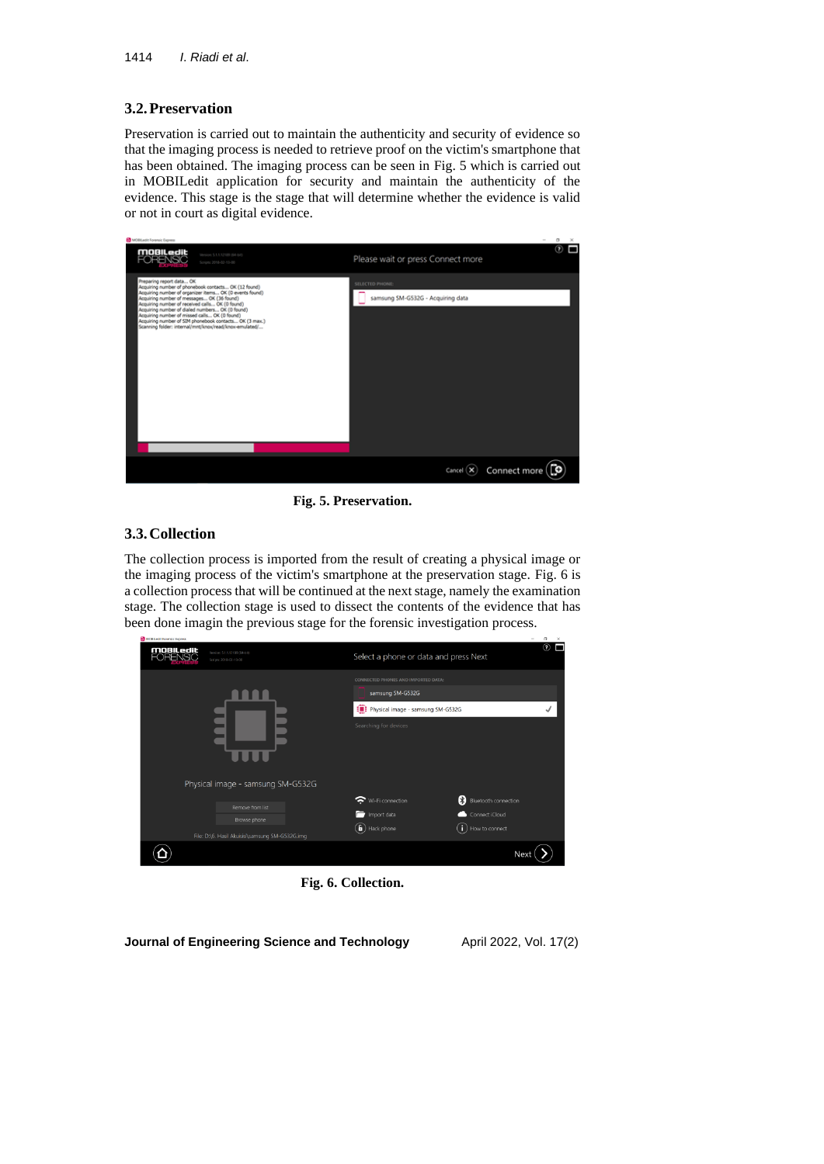# **3.2.Preservation**

Preservation is carried out to maintain the authenticity and security of evidence so that the imaging process is needed to retrieve proof on the victim's smartphone that has been obtained. The imaging process can be seen in Fig. 5 which is carried out in MOBILedit application for security and maintain the authenticity of the evidence. This stage is the stage that will determine whether the evidence is valid or not in court as digital evidence.



**Fig. 5. Preservation.**

# **3.3.Collection**

The collection process is imported from the result of creating a physical image or the imaging process of the victim's smartphone at the preservation stage. Fig. 6 is a collection process that will be continued at the next stage, namely the examination stage. The collection stage is used to dissect the contents of the evidence that has been done imagin the previous stage for the forensic investigation process.

| <b>moBiledit</b><br>FORENSIC | Version: 5.1.1.12189 (64-bit)<br>Scripts: 2018-02-13-00                                                                  | Select a phone or data and press Next                                                                                 | $\circledR$                                                        |
|------------------------------|--------------------------------------------------------------------------------------------------------------------------|-----------------------------------------------------------------------------------------------------------------------|--------------------------------------------------------------------|
|                              |                                                                                                                          | CONNECTED PHONES AND IMPORTED DATA:<br>samsung SM-G532G<br>Physical image - samsung SM-G532G<br>Searching for devices |                                                                    |
|                              | Physical image - samsung SM-G532G<br>Remove from list<br>Browse phone<br>File: D:\6. Hasil Akuisisi\samsung SM-G532G.img | Wi-Fi connection<br>Import data<br>$\binom{c}{\mathbf{H}}$ Hack phone                                                 | 8<br>Bluetooth connection<br>Connect iCloud<br>П<br>How to connect |
|                              |                                                                                                                          |                                                                                                                       | Next                                                               |

**Fig. 6. Collection.**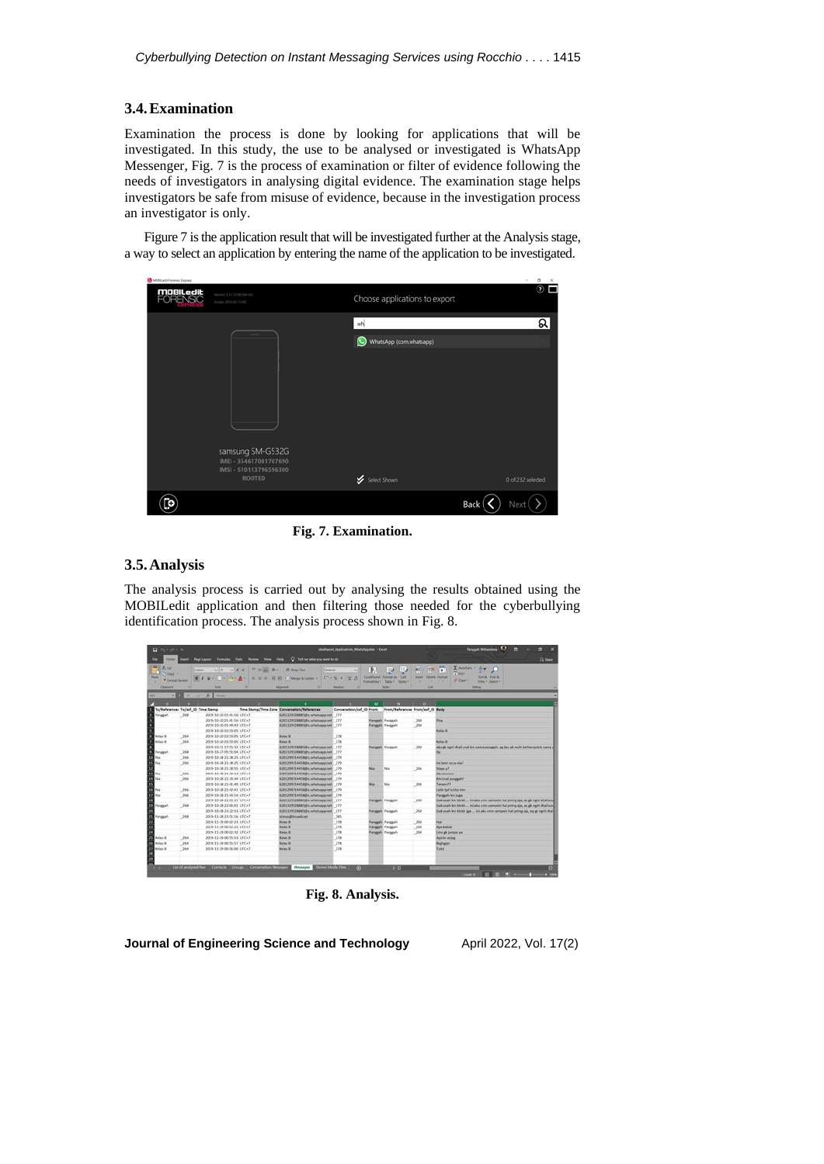### **3.4.Examination**

Examination the process is done by looking for applications that will be investigated. In this study, the use to be analysed or investigated is WhatsApp Messenger, Fig. 7 is the process of examination or filter of evidence following the needs of investigators in analysing digital evidence. The examination stage helps investigators be safe from misuse of evidence, because in the investigation process an investigator is only.

Figure 7 is the application result that will be investigated further at the Analysis stage, a way to select an application by entering the name of the application to be investigated.

| MOBILedit Forensic Express  |                                                      |                                        |                               | $\sim$<br>$^{\circ}$<br>$\times$ |
|-----------------------------|------------------------------------------------------|----------------------------------------|-------------------------------|----------------------------------|
| <b>mobiledit</b><br>FORENSC | Version \$3,5,5210 (64-64)<br>Scripts: 2018-02-13-00 |                                        | Choose applications to export | $\circ$ $\Box$                   |
|                             |                                                      |                                        | wh                            | ର                                |
|                             |                                                      | $\mathbf C$<br>WhatsApp (com.whatsapp) |                               |                                  |
|                             |                                                      |                                        |                               |                                  |
|                             | samsung SM-G532G<br>IMEI - 354617081707690           |                                        |                               |                                  |
|                             | IMSI - 510113796596300<br><b>ROOTED</b>              |                                        | Select Shown                  | 0 of 232 selected                |
|                             |                                                      |                                        |                               | Back<br>Next                     |

**Fig. 7. Examination.**

### **3.5.Analysis**

The analysis process is carried out by analysing the results obtained using the MOBILedit application and then filtering those needed for the cyberbullying identification process. The analysis process shown in Fig. 8.

| <b>Q</b> dynamic                                                                 |      |                                            |                                                                                              | studiopest Applications Milady Applica - Excel- |                                  |                                                                                           |                                                                | <b>Regist Williamsey</b> 4.<br>$\mathbf{x}$<br>n                                                                                                              |
|----------------------------------------------------------------------------------|------|--------------------------------------------|----------------------------------------------------------------------------------------------|-------------------------------------------------|----------------------------------|-------------------------------------------------------------------------------------------|----------------------------------------------------------------|---------------------------------------------------------------------------------------------------------------------------------------------------------------|
| <b>Home</b>                                                                      |      | Page Leacul                                | C Telt me which you want to do<br><b>Formulas Cuts Review Vere Help:</b>                     |                                                 |                                  |                                                                                           |                                                                | <b>R</b> Share                                                                                                                                                |
| <b>WEXER</b><br><b>TENNETA</b><br>hid<br><b>V Alemal Rubber</b><br>÷<br>Clubmand |      | Callier<br>$\blacksquare$<br><b>Family</b> | vitt vikix " = = 0 - films he<br>WHEN ON A REMOVE HER COMPAGNONS IN A R. P. LETT.<br>Alcomed | General<br><b>Name of A</b>                     | BЛ<br>$-1$<br>Commonal Verman as | $\overline{\phantom{a}}$<br><b>Call</b><br>Formatting 1: Table 1 Styles 1<br><b>TALMA</b> | <b>ISA</b><br><b>WELL</b><br><b>Maint</b><br>œ<br><b>Calls</b> | $\Sigma$ Amden. $\tau$ $A$ $\tau$<br>π<br><b>Think</b><br>Delaine Roomat<br><b>Sant B. Foot &amp;</b><br>J Cast 1<br><b>Siter 1 Search 1</b><br><b>STRAKE</b> |
| <b>M1</b><br>$+303$                                                              |      | <b>DE V B</b><br><b>Truck</b>              |                                                                                              |                                                 |                                  |                                                                                           |                                                                |                                                                                                                                                               |
|                                                                                  |      |                                            |                                                                                              |                                                 | w                                | ш                                                                                         | æ.                                                             |                                                                                                                                                               |
| Ta/References To/auf 10 Time Stamp                                               |      |                                            | Time Stamp/Time Zone Communicat/References                                                   |                                                 | Conversation/auf 10 Yrom         |                                                                                           | from/References from/ast to Body                               |                                                                                                                                                               |
| Paintent                                                                         | 368  | 2015-10-30 SCAL 16 UTC+7                   | 620013201288812F4.tehamaga.meE 277                                                           |                                                 |                                  |                                                                                           |                                                                |                                                                                                                                                               |
|                                                                                  |      | 2015-10-20 21:41:16 UTC+7                  | 62X1320128881@s.julhatsace.net 277                                                           |                                                 |                                  | <b>Rangealt</b> , Panesculo                                                               | .268                                                           | mu                                                                                                                                                            |
|                                                                                  |      | 2015-10-2011-00-KE UTC+7                   | 6281329128881@s.whatsapp.net 277                                                             |                                                 |                                  | Panggali Panggah                                                                          | .268                                                           |                                                                                                                                                               |
|                                                                                  |      | 2019-10-20 03:53:05 UTC+7                  |                                                                                              |                                                 |                                  |                                                                                           |                                                                | <b>Kelau II</b>                                                                                                                                               |
| Kelas &                                                                          | .394 | 2019-10-20 03:55:05 UTC+7                  | Kelas III                                                                                    | 278                                             |                                  |                                                                                           |                                                                |                                                                                                                                                               |
| Kelley B.                                                                        | 364  | 2019-10-20-03-53-05 UTC+7                  | <b>Kindler</b>                                                                               | 228                                             |                                  |                                                                                           |                                                                | <b>Kelas B</b>                                                                                                                                                |
|                                                                                  |      | 2019-10-21 17:55:32 UTC+7                  | 6285329028881@x.whatsapp.met 277                                                             |                                                 |                                  | <b>Rangealk Pandexh</b>                                                                   | 268                                                            | also gly rightli chall soul lent same peregarity up See als main berharap lent same of                                                                        |
| Fenapah                                                                          | 368  | 2019-10-27-05:51:04 UTC+7                  | 62813291288818h whatsapp.net 277                                                             |                                                 |                                  |                                                                                           |                                                                |                                                                                                                                                               |
| Nia                                                                              | 366  | 2019-10-28 21:38:29 UTC+7                  | UN129971445Mills inhattappi.net 279                                                          |                                                 |                                  |                                                                                           |                                                                |                                                                                                                                                               |
| 764                                                                              | 366  | 2015-16-28 21:38:25 UTC+7                  | 02003209714458@s.tehamaga.net 279                                                            |                                                 |                                  |                                                                                           |                                                                | the bene not a nia?                                                                                                                                           |
|                                                                                  |      | 3015-10-28 21:38:55 UTC+7                  | EDX1209714458@s.whatsappingE 279                                                             |                                                 | Nie                              | No                                                                                        | 266                                                            | <b>Gazie</b> u7                                                                                                                                               |
| Nie                                                                              | 366  | 2015-10-28 21:39:13 UTC+7                  | CALL THE GOARMAN ARRESTS FT PRODUCTS                                                         |                                                 |                                  |                                                                                           |                                                                | <b>Abu Emineur</b>                                                                                                                                            |
| Nie                                                                              | 366  | 2019-10-28 21:09:34 UTC+7                  | 0781299714458@k.whatsapp.net 279                                                             |                                                 |                                  |                                                                                           |                                                                | Elkispean Sund Jan                                                                                                                                            |
|                                                                                  |      | 2019-10-28 21:41:49 UTC+7                  | 0281299714458@s.whatsapp.net. 279                                                            |                                                 | No                               | Na                                                                                        | 268                                                            | [ Kasan]                                                                                                                                                      |
| Nid                                                                              | .286 | 2019-10-28 21:42:41 UTCs7                  | 0281299714458@s.juhansapp.net 279                                                            |                                                 |                                  |                                                                                           |                                                                | <b>Leish tod's kits tour.</b>                                                                                                                                 |
| No                                                                               | 266  | 2019-10-28 21:43:14 UTC+7                  | 6281299714458@is.luhatsapp.net 279                                                           |                                                 |                                  |                                                                                           |                                                                | Fanggah km juga                                                                                                                                               |
|                                                                                  |      | 2019-10-28 22:03:31 UTC+7                  | 6281329128691894 whatsapp.net 277                                                            |                                                 |                                  | Fiengealt Frencont                                                                        | 768                                                            | Gak usah km blokir ini aku cremaanpelo hal priting ala, aq ak narti dtali soul                                                                                |
| anasah                                                                           | 368  | 2019-10-28 22:06:01 UTC+7                  | 02813291288818 v.ivhatsapp.net 277                                                           |                                                 |                                  |                                                                                           |                                                                | Gak usah kesi blokit ini aku zmw sampeisi hal pritrataja, sq gk ngrti dtad sou                                                                                |
|                                                                                  |      | 2019-10-28 23:22:51 UTC+7                  | 6281329178881Blv whatsapp.met 277                                                            |                                                 |                                  | <b>Fieldpoin</b> Fariganh                                                                 | 268                                                            | Gak usah ker blokir jaa  ini aku cren sampein hal anting aja, aq gk ngrti-ittal                                                                               |
| hahaash                                                                          | 368  | 2015-15-26 23:51:16 UTC+7                  | <b>Italyn@broadcast</b>                                                                      | 245                                             |                                  |                                                                                           |                                                                |                                                                                                                                                               |
|                                                                                  |      | 2015-15-29-00:02:23 UTC+7                  | <b>Grien II</b>                                                                              | 278                                             |                                  | <b>Planagoin</b> , Panagain                                                               | 268                                                            | Hai                                                                                                                                                           |
|                                                                                  |      | 2019-15-29-00/02:25 UTC+7                  | <b>Kalisa R</b>                                                                              | 278                                             |                                  | Palagah Pengain                                                                           | 268.                                                           | <b>Ada liabar</b>                                                                                                                                             |
|                                                                                  |      | 2019-11-29 00:02:32 UTC+7                  | <b>Cylins II</b>                                                                             | 378                                             |                                  | <b>Telephi Percent</b>                                                                    | 268                                                            | Lina ak jumpa ya                                                                                                                                              |
| <b>Kelles &amp;</b>                                                              | 364  | 2019-11-29-00:55:53 UTC+2                  | <b>Kelas B</b>                                                                               | 278                                             |                                  |                                                                                           |                                                                | Apia lis aning                                                                                                                                                |
| Kelay &                                                                          | 364  | 2019-15-29 00:55:57 UTC+7                  | <b>Kelley IL</b>                                                                             | 278                                             |                                  |                                                                                           |                                                                | Balingas                                                                                                                                                      |
| Kelas &                                                                          | 258  | 2019-11-29-00:56:00 UTC+7                  | <b>Kellas II</b>                                                                             | 278                                             |                                  |                                                                                           |                                                                | <b>Listed</b>                                                                                                                                                 |
|                                                                                  |      |                                            | List of analyzed files Contacts Comps Communication Messages Messages                        | <b>Shows Media Files</b>                        | <b>TO</b>                        | 114.1                                                                                     |                                                                |                                                                                                                                                               |

**Fig. 8. Analysis.**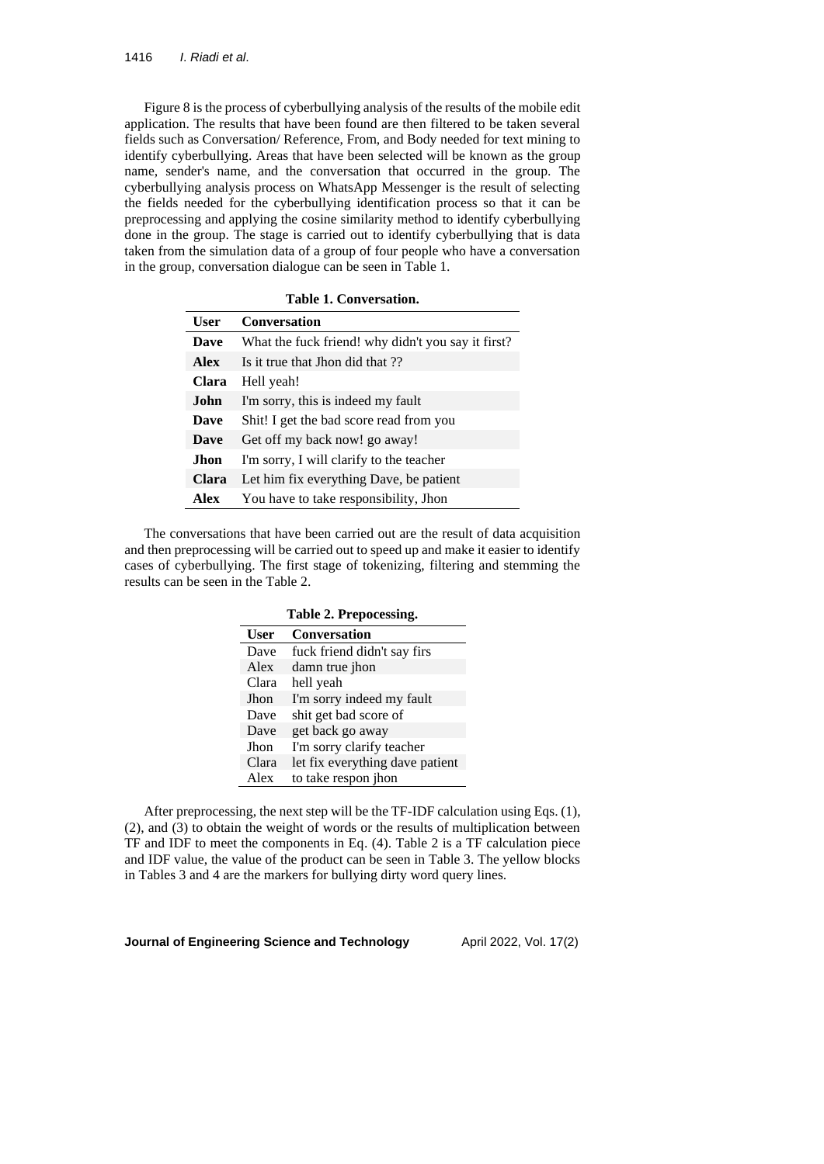Figure 8 is the process of cyberbullying analysis of the results of the mobile edit application. The results that have been found are then filtered to be taken several fields such as Conversation/ Reference, From, and Body needed for text mining to identify cyberbullying. Areas that have been selected will be known as the group name, sender's name, and the conversation that occurred in the group. The cyberbullying analysis process on WhatsApp Messenger is the result of selecting the fields needed for the cyberbullying identification process so that it can be preprocessing and applying the cosine similarity method to identify cyberbullying done in the group. The stage is carried out to identify cyberbullying that is data taken from the simulation data of a group of four people who have a conversation in the group, conversation dialogue can be seen in Table 1.

| Table 1. Conversation. |                                                    |  |  |  |
|------------------------|----------------------------------------------------|--|--|--|
| <b>User</b>            | <b>Conversation</b>                                |  |  |  |
| <b>Dave</b>            | What the fuck friend! why didn't you say it first? |  |  |  |
| <b>Alex</b>            | Is it true that Jhon did that ??                   |  |  |  |
| Clara                  | Hell yeah!                                         |  |  |  |
| John.                  | I'm sorry, this is indeed my fault                 |  |  |  |
| Dave                   | Shit! I get the bad score read from you            |  |  |  |
| Dave                   | Get off my back now! go away!                      |  |  |  |
| Jhon                   | I'm sorry, I will clarify to the teacher           |  |  |  |
| Clara                  | Let him fix everything Dave, be patient            |  |  |  |
| Alex                   | You have to take responsibility, Jhon              |  |  |  |

The conversations that have been carried out are the result of data acquisition and then preprocessing will be carried out to speed up and make it easier to identify cases of cyberbullying. The first stage of tokenizing, filtering and stemming the results can be seen in the Table 2.

|             | Table 2. Prepocessing.          |  |  |  |
|-------------|---------------------------------|--|--|--|
| <b>User</b> | Conversation                    |  |  |  |
| Dave        | fuck friend didn't say firs     |  |  |  |
| Alex        | damn true jhon                  |  |  |  |
| Clara       | hell yeah                       |  |  |  |
| Jhon        | I'm sorry indeed my fault       |  |  |  |
| Dave        | shit get bad score of           |  |  |  |
| Dave        | get back go away                |  |  |  |
| Jhon        | I'm sorry clarify teacher       |  |  |  |
| Clara       | let fix everything dave patient |  |  |  |
| Alex        | to take respon jhon             |  |  |  |

After preprocessing, the next step will be the TF-IDF calculation using Eqs. (1), (2), and (3) to obtain the weight of words or the results of multiplication between TF and IDF to meet the components in Eq. (4). Table 2 is a TF calculation piece and IDF value, the value of the product can be seen in Table 3. The yellow blocks in Tables 3 and 4 are the markers for bullying dirty word query lines.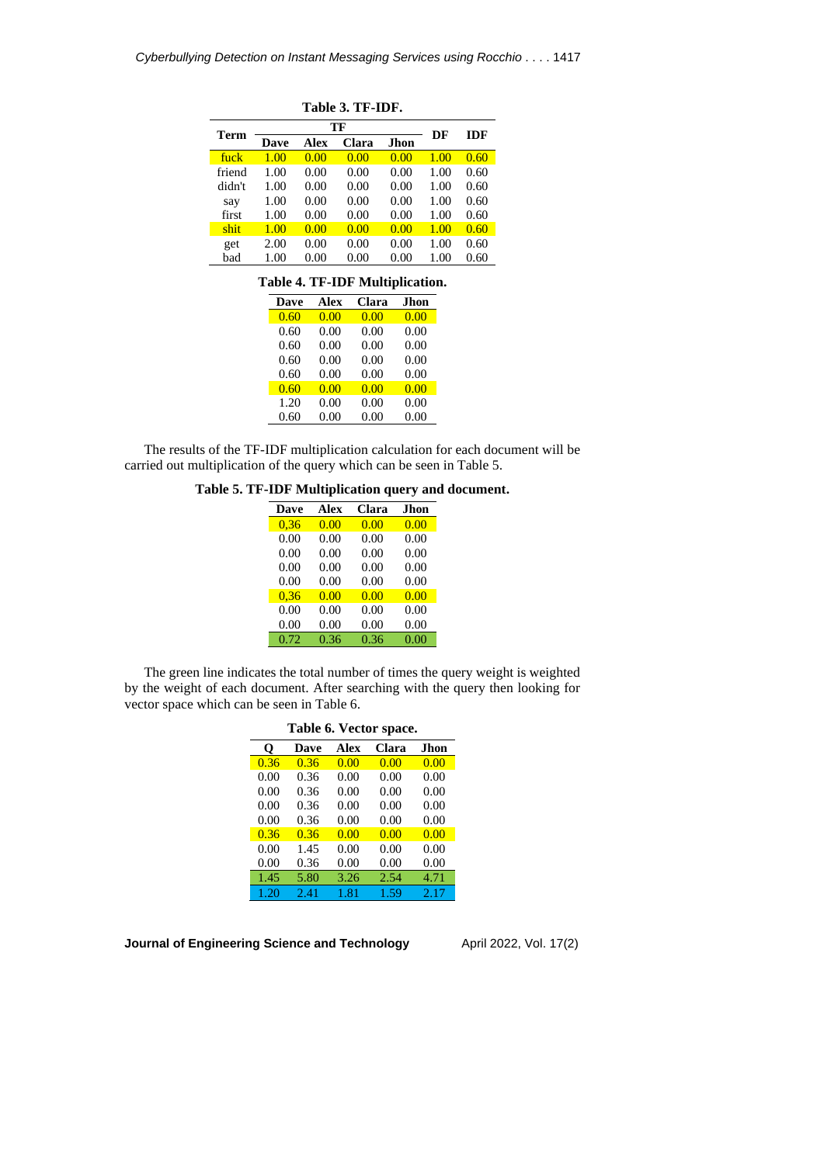| Table 3. TF-IDF. |      |      |       |      |      |      |
|------------------|------|------|-------|------|------|------|
|                  |      | DF   | IDF   |      |      |      |
| Term             | Dave | Alex | Clara | Jhon |      |      |
| fuck             | 1.00 | 0.00 | 0.00  | 0.00 | 1.00 | 0.60 |
| friend           | 1.00 | 0.00 | 0.00  | 0.00 | 1.00 | 0.60 |
| didn't           | 1.00 | 0.00 | 0.00  | 0.00 | 1.00 | 0.60 |
| say              | 1.00 | 0.00 | 0.00  | 0.00 | 1.00 | 0.60 |
| first            | 1.00 | 0.00 | 0.00  | 0.00 | 1.00 | 0.60 |
| shit             | 1.00 | 0.00 | 0.00  | 0.00 | 1.00 | 0.60 |
| get              | 2.00 | 0.00 | 0.00  | 0.00 | 1.00 | 0.60 |
| bad              | 1.00 | 0.00 | 0.00  | 0.00 | 1.00 | 0.60 |

# **Table 4. TF-IDF Multiplication.**

| Dave | Alex | Clara | Jhon |
|------|------|-------|------|
| 0.60 | 0.00 | 0.00  | 0.00 |
| 0.60 | 0.00 | 0.00  | 0.00 |
| 0.60 | 0.00 | 0.00  | 0.00 |
| 0.60 | 0.00 | 0.00  | 0.00 |
| 0.60 | 0.00 | 0.00  | 0.00 |
| 0.60 | 0.00 | 0.00  | 0.00 |
| 1.20 | 0.00 | 0.00  | 0.00 |
| 0.60 | 0.00 | 0.00  | 0.00 |

The results of the TF-IDF multiplication calculation for each document will be carried out multiplication of the query which can be seen in Table 5.

**Table 5. TF-IDF Multiplication query and document.**

| Dave | <b>Alex</b> | Clara | Jhon |
|------|-------------|-------|------|
| 0,36 | 0.00        | 0.00  | 0.00 |
| 0.00 | 0.00        | 0.00  | 0.00 |
| 0.00 | 0.00        | 0.00  | 0.00 |
| 0.00 | 0.00        | 0.00  | 0.00 |
| 0.00 | 0.00        | 0.00  | 0.00 |
| 0.36 | 0.00        | 0.00  | 0.00 |
| 0.00 | 0.00        | 0.00  | 0.00 |
| 0.00 | 0.00        | 0.00  | 0.00 |
| 0.72 | 0.36        | 0.36  | 0.00 |
|      |             |       |      |

The green line indicates the total number of times the query weight is weighted by the weight of each document. After searching with the query then looking for vector space which can be seen in Table 6.

| Table 6. Vector space. |      |             |       |             |  |  |
|------------------------|------|-------------|-------|-------------|--|--|
| O                      | Dave | <b>Alex</b> | Clara | <b>Jhon</b> |  |  |
| 0.36                   | 0.36 | 0.00        | 0.00  | 0.00        |  |  |
| 0.00                   | 0.36 | 0.00        | 0.00  | 0.00        |  |  |
| 0.00                   | 0.36 | 0.00        | 0.00  | 0.00        |  |  |
| 0.00                   | 0.36 | 0.00        | 0.00  | 0.00        |  |  |
| 0.00                   | 0.36 | 0.00        | 0.00  | 0.00        |  |  |
| 0.36                   | 0.36 | 0.00        | 0.00  | 0.00        |  |  |
| 0.00                   | 1.45 | 0.00        | 0.00  | 0.00        |  |  |
| 0.00                   | 0.36 | 0.00        | 0.00  | 0.00        |  |  |
| 1.45                   | 5.80 | 3.26        | 2.54  | 4.71        |  |  |
| 1.20                   | 2.41 | 1.81        | 1.59  | 2.17        |  |  |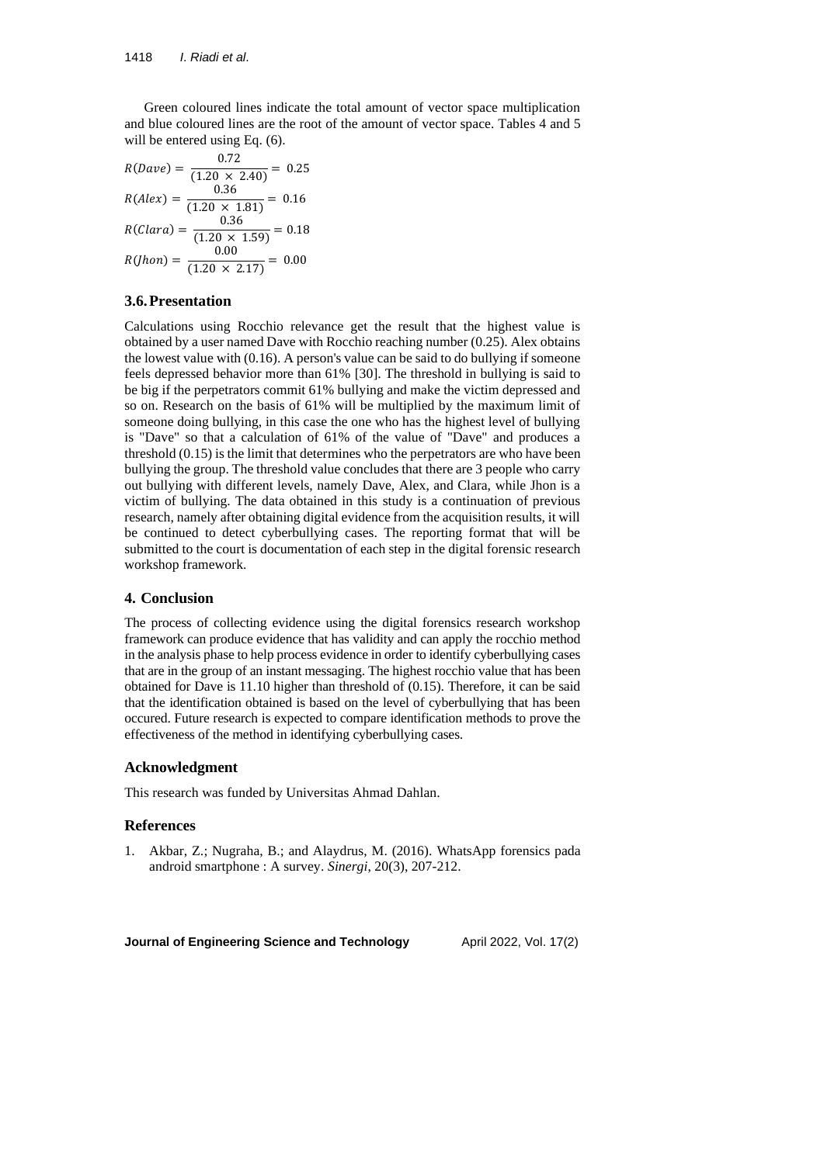Green coloured lines indicate the total amount of vector space multiplication and blue coloured lines are the root of the amount of vector space. Tables 4 and 5 will be entered using Eq.  $(6)$ .

$$
R(Dave) = \frac{0.72}{(1.20 \times 2.40)} = 0.25
$$
  
\n
$$
R(Alex) = \frac{0.36}{(1.20 \times 1.81)} = 0.16
$$
  
\n
$$
R(Clara) = \frac{0.36}{(1.20 \times 1.59)} = 0.18
$$
  
\n
$$
R(Ihon) = \frac{0.00}{(1.20 \times 2.17)} = 0.00
$$

# **3.6.Presentation**

Calculations using Rocchio relevance get the result that the highest value is obtained by a user named Dave with Rocchio reaching number (0.25). Alex obtains the lowest value with (0.16). A person's value can be said to do bullying if someone feels depressed behavior more than 61% [30]. The threshold in bullying is said to be big if the perpetrators commit 61% bullying and make the victim depressed and so on. Research on the basis of 61% will be multiplied by the maximum limit of someone doing bullying, in this case the one who has the highest level of bullying is "Dave" so that a calculation of 61% of the value of "Dave" and produces a threshold (0.15) is the limit that determines who the perpetrators are who have been bullying the group. The threshold value concludes that there are 3 people who carry out bullying with different levels, namely Dave, Alex, and Clara, while Jhon is a victim of bullying. The data obtained in this study is a continuation of previous research, namely after obtaining digital evidence from the acquisition results, it will be continued to detect cyberbullying cases. The reporting format that will be submitted to the court is documentation of each step in the digital forensic research workshop framework.

### **4. Conclusion**

The process of collecting evidence using the digital forensics research workshop framework can produce evidence that has validity and can apply the rocchio method in the analysis phase to help process evidence in order to identify cyberbullying cases that are in the group of an instant messaging. The highest rocchio value that has been obtained for Dave is 11.10 higher than threshold of (0.15). Therefore, it can be said that the identification obtained is based on the level of cyberbullying that has been occured. Future research is expected to compare identification methods to prove the effectiveness of the method in identifying cyberbullying cases.

#### **Acknowledgment**

This research was funded by Universitas Ahmad Dahlan.

### **References**

1. Akbar, Z.; Nugraha, B.; and Alaydrus, M. (2016). WhatsApp forensics pada android smartphone : A survey. *Sinergi*, 20(3), 207-212.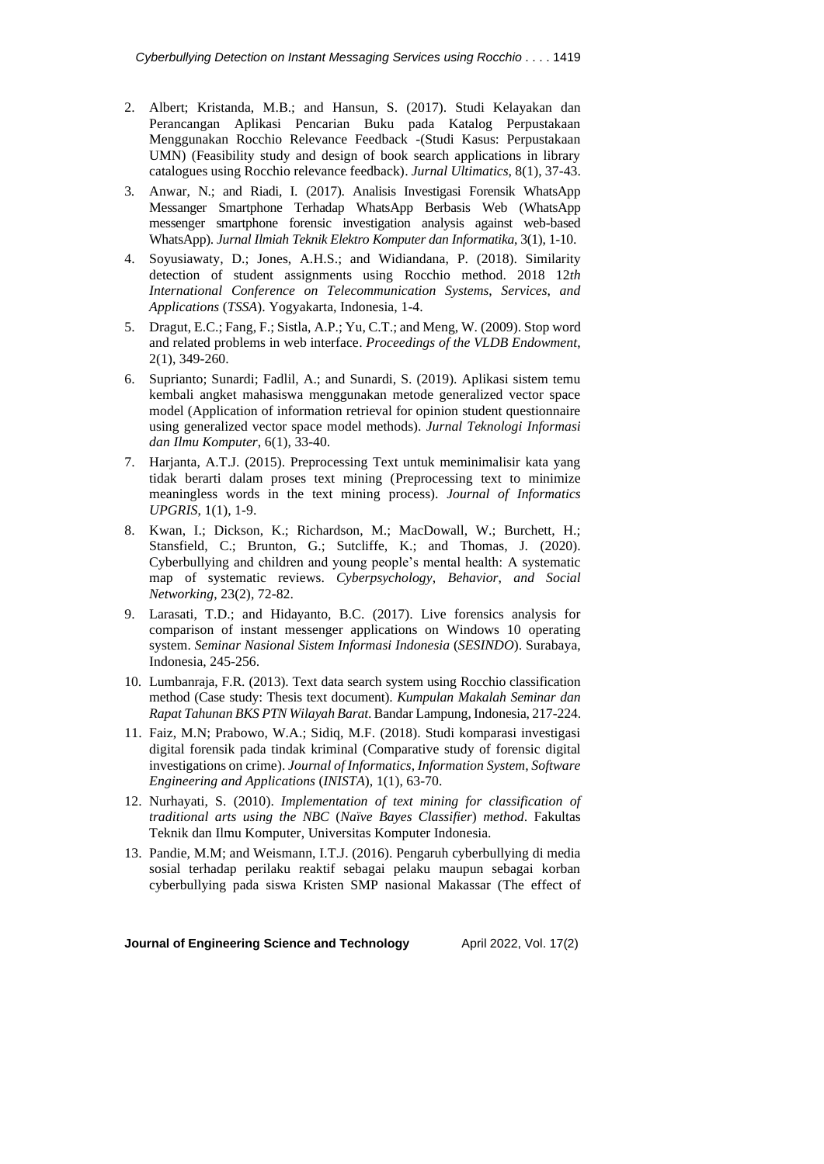- 2. Albert; Kristanda, M.B.; and Hansun, S. (2017). Studi Kelayakan dan Perancangan Aplikasi Pencarian Buku pada Katalog Perpustakaan Menggunakan Rocchio Relevance Feedback -(Studi Kasus: Perpustakaan UMN) (Feasibility study and design of book search applications in library catalogues using Rocchio relevance feedback). *Jurnal Ultimatics*, 8(1), 37-43.
- 3. Anwar, N.; and Riadi, I. (2017). Analisis Investigasi Forensik WhatsApp Messanger Smartphone Terhadap WhatsApp Berbasis Web (WhatsApp messenger smartphone forensic investigation analysis against web-based WhatsApp). *Jurnal Ilmiah Teknik Elektro Komputer dan Informatika*, 3(1), 1-10.
- 4. Soyusiawaty, D.; Jones, A.H.S.; and Widiandana, P. (2018). Similarity detection of student assignments using Rocchio method. 2018 12*th International Conference on Telecommunication Systems*, *Services*, *and Applications* (*TSSA*). Yogyakarta, Indonesia, 1-4.
- 5. Dragut, E.C.; Fang, F.; Sistla, A.P.; Yu, C.T.; and Meng, W. (2009). Stop word and related problems in web interface. *Proceedings of the VLDB Endowment*, 2(1), 349-260.
- 6. Suprianto; Sunardi; Fadlil, A.; and Sunardi, S. (2019). Aplikasi sistem temu kembali angket mahasiswa menggunakan metode generalized vector space model (Application of information retrieval for opinion student questionnaire using generalized vector space model methods). *Jurnal Teknologi Informasi dan Ilmu Komputer*, 6(1), 33-40.
- 7. Harjanta, A.T.J. (2015). Preprocessing Text untuk meminimalisir kata yang tidak berarti dalam proses text mining (Preprocessing text to minimize meaningless words in the text mining process). *Journal of Informatics UPGRIS*, 1(1), 1-9.
- 8. Kwan, I.; Dickson, K.; Richardson, M.; MacDowall, W.; Burchett, H.; Stansfield, C.; Brunton, G.; Sutcliffe, K.; and Thomas, J. (2020). Cyberbullying and children and young people's mental health: A systematic map of systematic reviews. *Cyberpsychology*, *Behavior*, *and Social Networking*, 23(2), 72-82.
- 9. Larasati, T.D.; and Hidayanto, B.C. (2017). Live forensics analysis for comparison of instant messenger applications on Windows 10 operating system. *Seminar Nasional Sistem Informasi Indonesia* (*SESINDO*). Surabaya, Indonesia, 245-256.
- 10. Lumbanraja, F.R. (2013). Text data search system using Rocchio classification method (Case study: Thesis text document). *Kumpulan Makalah Seminar dan Rapat Tahunan BKS PTN Wilayah Barat*. Bandar Lampung, Indonesia, 217-224.
- 11. Faiz, M.N; Prabowo, W.A.; Sidiq, M.F. (2018). Studi komparasi investigasi digital forensik pada tindak kriminal (Comparative study of forensic digital investigations on crime). *Journal of Informatics*, *Information System*, *Software Engineering and Applications* (*INISTA*), 1(1), 63-70.
- 12. Nurhayati, S. (2010). *Implementation of text mining for classification of traditional arts using the NBC* (*Naïve Bayes Classifier*) *method*. Fakultas Teknik dan Ilmu Komputer, Universitas Komputer Indonesia.
- 13. Pandie, M.M; and Weismann, I.T.J. (2016). Pengaruh cyberbullying di media sosial terhadap perilaku reaktif sebagai pelaku maupun sebagai korban cyberbullying pada siswa Kristen SMP nasional Makassar (The effect of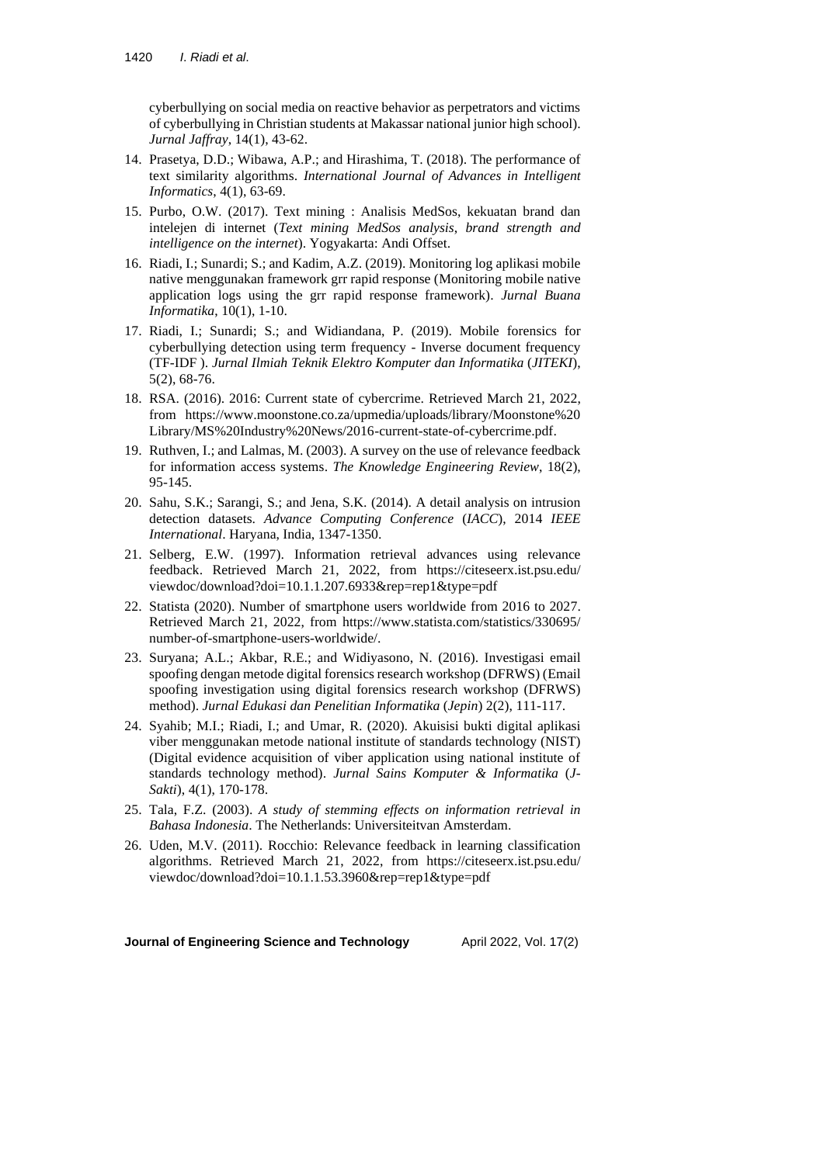cyberbullying on social media on reactive behavior as perpetrators and victims of cyberbullying in Christian students at Makassar national junior high school). *Jurnal Jaffray*, 14(1), 43-62.

- 14. Prasetya, D.D.; Wibawa, A.P.; and Hirashima, T. (2018). The performance of text similarity algorithms. *International Journal of Advances in Intelligent Informatics*, 4(1), 63-69.
- 15. Purbo, O.W. (2017). Text mining : Analisis MedSos, kekuatan brand dan intelejen di internet (*Text mining MedSos analysis*, *brand strength and intelligence on the internet*). Yogyakarta: Andi Offset.
- 16. Riadi, I.; Sunardi; S.; and Kadim, A.Z. (2019). Monitoring log aplikasi mobile native menggunakan framework grr rapid response (Monitoring mobile native application logs using the grr rapid response framework). *Jurnal Buana Informatika*, 10(1), 1-10.
- 17. Riadi, I.; Sunardi; S.; and Widiandana, P. (2019). Mobile forensics for cyberbullying detection using term frequency - Inverse document frequency (TF-IDF ). *Jurnal Ilmiah Teknik Elektro Komputer dan Informatika* (*JITEKI*), 5(2), 68-76.
- 18. RSA. (2016). 2016: Current state of cybercrime. Retrieved March 21, 2022, from [https://www.moonstone.co.za/upmedia/uploads/library/Moonstone%20](https://www.moonstone.co.za/upmedia/uploads/library/Moonstone) Library/MS%20Industry%20News/2016-current-state-of-cybercrime.pdf.
- 19. Ruthven, I.; and Lalmas, M. (2003). A survey on the use of relevance feedback for information access systems. *The Knowledge Engineering Review*, 18(2), 95-145.
- 20. Sahu, S.K.; Sarangi, S.; and Jena, S.K. (2014). A detail analysis on intrusion detection datasets. *Advance Computing Conference* (*IACC*), 2014 *IEEE International*. Haryana, India, 1347-1350.
- 21. Selberg, E.W. (1997). Information retrieval advances using relevance feedback. Retrieved March 21, 2022, from <https://citeseerx.ist.psu.edu/> viewdoc/download?doi=10.1.1.207.6933&rep=rep1&type=pdf
- 22. Statista (2020). Number of smartphone users worldwide from 2016 to 2027. Retrieved March 21, 2022, from <https://www.statista.com/statistics/330695/> number-of-smartphone-users-worldwide/.
- 23. Suryana; A.L.; Akbar, R.E.; and Widiyasono, N. (2016). Investigasi email spoofing dengan metode digital forensics research workshop (DFRWS) (Email spoofing investigation using digital forensics research workshop (DFRWS) method). *Jurnal Edukasi dan Penelitian Informatika* (*Jepin*) 2(2), 111-117.
- 24. Syahib; M.I.; Riadi, I.; and Umar, R. (2020). Akuisisi bukti digital aplikasi viber menggunakan metode national institute of standards technology (NIST) (Digital evidence acquisition of viber application using national institute of standards technology method). *Jurnal Sains Komputer & Informatika* (*J*-*Sakti*), 4(1), 170-178.
- 25. Tala, F.Z. (2003). *A study of stemming effects on information retrieval in Bahasa Indonesia*. The Netherlands: Universiteitvan Amsterdam.
- 26. Uden, M.V. (2011). Rocchio: Relevance feedback in learning classification algorithms. Retrieved March 21, 2022, from <https://citeseerx.ist.psu.edu/> viewdoc/download?doi=10.1.1.53.3960&rep=rep1&type=pdf